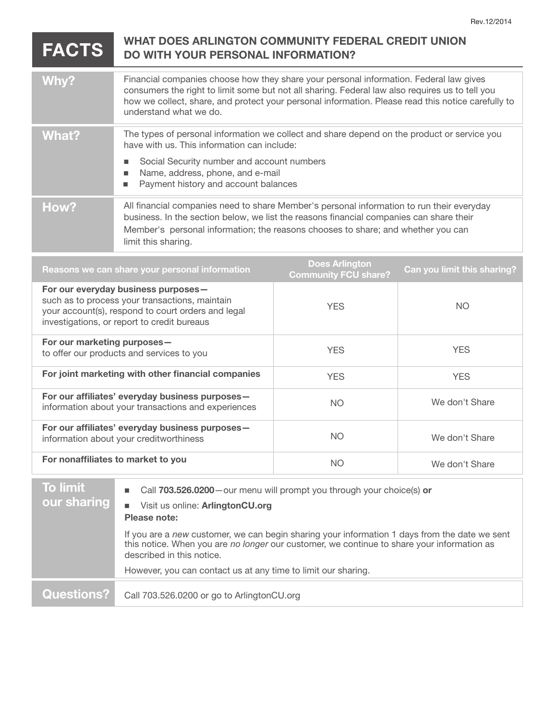## **FACTS** WHAT DOES ARLINGTON COMMUNITY FEDERAL CREDIT UNION<br>DO WITH YOUR PERSONAL INFORMATION?

| Why?  | Financial companies choose how they share your personal information. Federal law gives<br>consumers the right to limit some but not all sharing. Federal law also requires us to tell you<br>how we collect, share, and protect your personal information. Please read this notice carefully to<br>understand what we do. |
|-------|---------------------------------------------------------------------------------------------------------------------------------------------------------------------------------------------------------------------------------------------------------------------------------------------------------------------------|
| What? | The types of personal information we collect and share depend on the product or service you<br>have with us. This information can include:<br>Social Security number and account numbers<br>Name, address, phone, and e-mail<br>Payment history and account balances                                                      |
| How?  | All financial companies need to share Member's personal information to run their everyday<br>business. In the section below, we list the reasons financial companies can share their<br>Member's personal information; the reasons chooses to share; and whether you can<br>limit this sharing.                           |

| Reasons we can share your personal information                                                                                                                                             | <b>Does Arlington</b><br><b>Community FCU share?</b> | <b>Can you limit this sharing?</b> |
|--------------------------------------------------------------------------------------------------------------------------------------------------------------------------------------------|------------------------------------------------------|------------------------------------|
| For our everyday business purposes-<br>such as to process your transactions, maintain<br>your account(s), respond to court orders and legal<br>investigations, or report to credit bureaus | <b>YES</b>                                           | NO.                                |
| For our marketing purposes-<br>to offer our products and services to you                                                                                                                   | <b>YES</b>                                           | <b>YES</b>                         |
| For joint marketing with other financial companies                                                                                                                                         | <b>YES</b>                                           | <b>YES</b>                         |
| For our affiliates' everyday business purposes-<br>information about your transactions and experiences                                                                                     | NO.                                                  | We don't Share                     |
| For our affiliates' everyday business purposes-<br>information about your creditworthiness                                                                                                 | NO.                                                  | We don't Share                     |
| For nonaffiliates to market to you                                                                                                                                                         | <b>NO</b>                                            | We don't Share                     |

| <b>To limit</b><br>our sharing | Call 703.526.0200 - our menu will prompt you through your choice(s) or<br>$\blacksquare$<br>Visit us online: ArlingtonCU.org<br>٠<br>Please note:                                                                        |
|--------------------------------|--------------------------------------------------------------------------------------------------------------------------------------------------------------------------------------------------------------------------|
|                                | If you are a new customer, we can begin sharing your information 1 days from the date we sent<br>this notice. When you are no longer our customer, we continue to share your information as<br>described in this notice. |
|                                | However, you can contact us at any time to limit our sharing.                                                                                                                                                            |
| Questions?                     | Call 703.526.0200 or go to ArlingtonCU.org                                                                                                                                                                               |